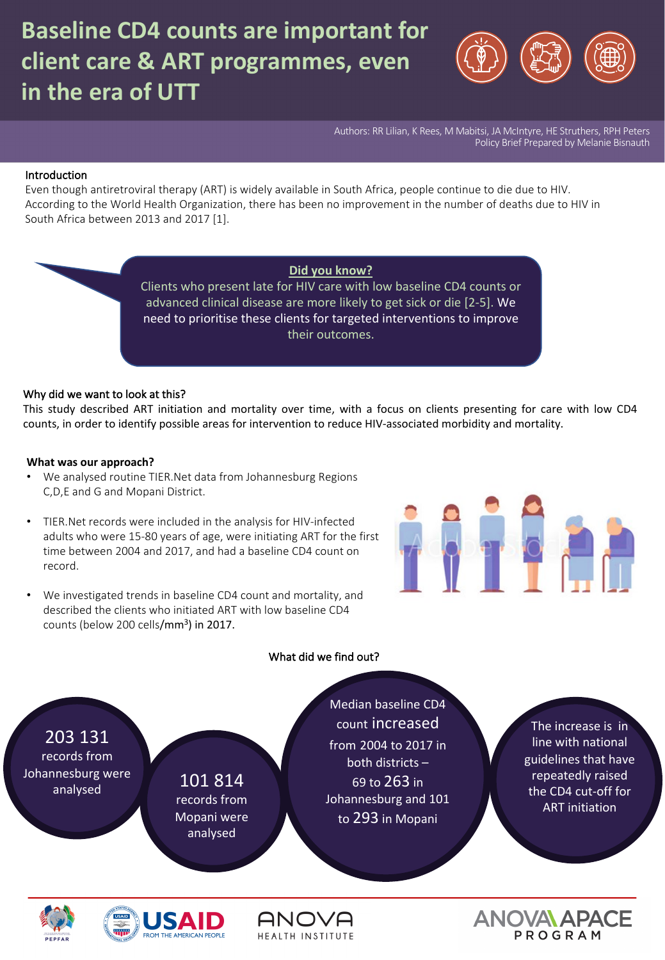

Authors: RR Lilian, K Rees, M Mabitsi, JA McIntyre, HE Struthers, RPH Peters Policy Brief Prepared by Melanie Bisnauth

#### Introduction

Even though antiretroviral therapy (ART) is widely available in South Africa, people continue to die due to HIV. According to the World Health Organization, there has been no improvement in the number of deaths due to HIV in South Africa between 2013 and 2017 [1].

> **Did you know?** Clients who present late for HIV care with low baseline CD4 counts or advanced clinical disease are more likely to get sick or die [2-5]. We need to prioritise these clients for targeted interventions to improve their outcomes.

#### Why did we want to look at this?

This study described ART initiation and mortality over time, with a focus on clients presenting for care with low CD4 counts, in order to identify possible areas for intervention to reduce HIV-associated morbidity and mortality.

#### **What was our approach?**

- We analysed routine TIER.Net data from Johannesburg Regions C,D,E and G and Mopani District.
- TIER.Net records were included in the analysis for HIV-infected adults who were 15-80 years of age, were initiating ART for the first time between 2004 and 2017, and had a baseline CD4 count on record.
- We investigated trends in baseline CD4 count and mortality, and described the clients who initiated ART with low baseline CD4 counts (below 200 cells/mm<sup>3</sup>) in 2017.

# 

#### What did we find out?

203 131 records from Johannesburg were  $\frac{101}{\text{m} \cdot \text{m}}$  analysed  $\frac{101}{\text{m}}$ 

records from Mopani were analysed

Median baseline CD4 count increased from 2004 to 2017 in both districts – 69 to 263 in Johannesburg and 101 to 293 in Mopani

The increase is in line with national guidelines that have repeatedly raised the CD4 cut-off for ART initiation







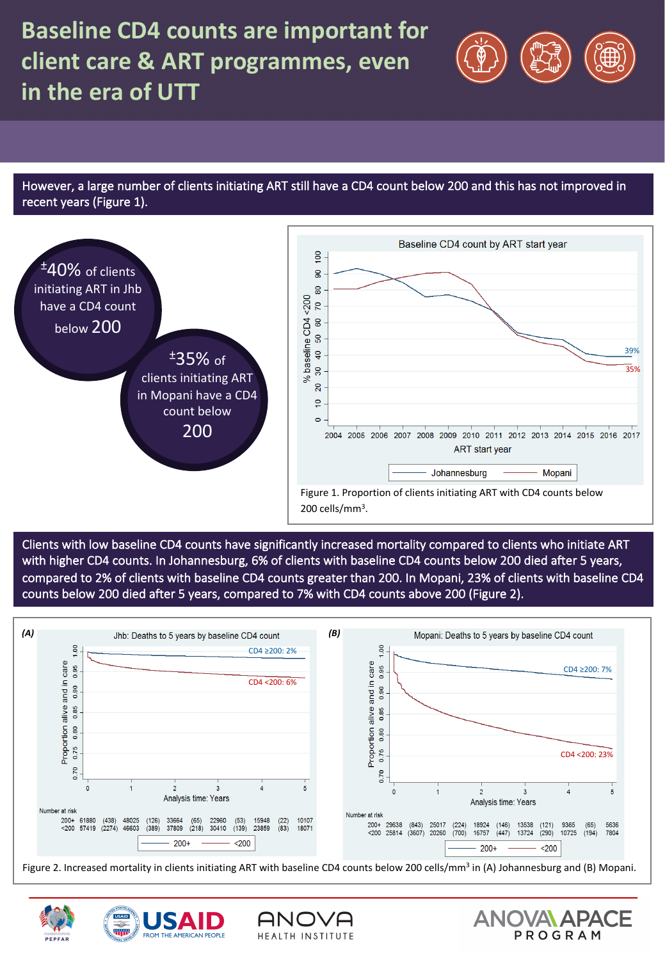

However, a large number of clients initiating ART still have a CD4 count below 200 and this has not improved in recent years (Figure 1).



Clients with low baseline CD4 counts have significantly increased mortality compared to clients who initiate ART with higher CD4 counts. In Johannesburg, 6% of clients with baseline CD4 counts below 200 died after 5 years, compared to 2% of clients with baseline CD4 counts greater than 200. In Mopani, 23% of clients with baseline CD4 counts below 200 died after 5 years, compared to 7% with CD4 counts above 200 (Figure 2).



Figure 2. Increased mortality in clients initiating ART with baseline CD4 counts below 200 cells/mm<sup>3</sup> in (A) Johannesburg and (B) Mopani.

HEALTH INSTITUTE



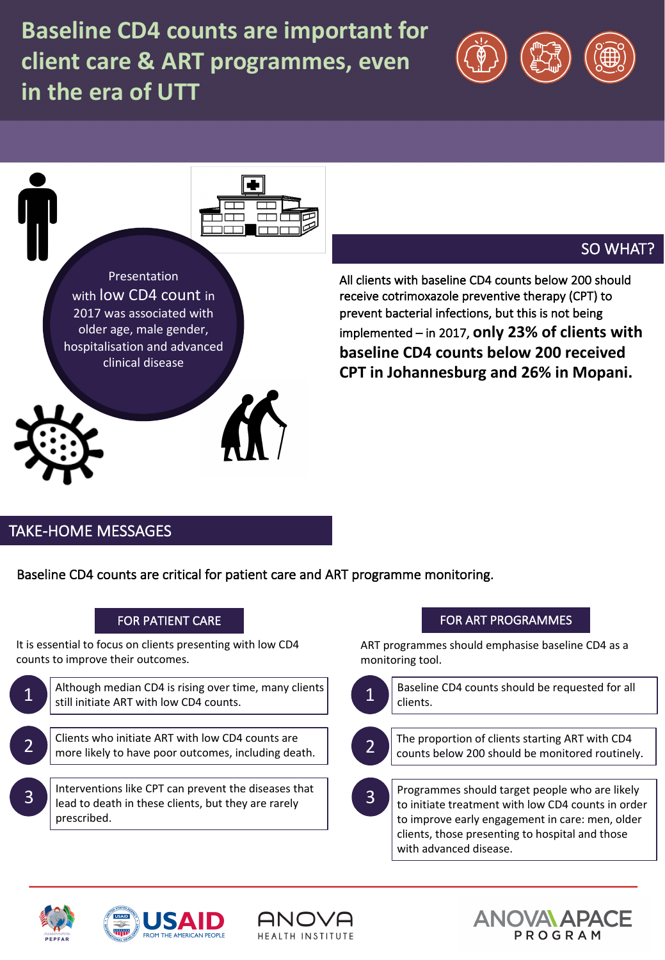



# SO WHAT?

All clients with baseline CD4 counts below 200 should receive cotrimoxazole preventive therapy (CPT) to prevent bacterial infections, but this is not being implemented – in 2017, **only 23% of clients with baseline CD4 counts below 200 received CPT in Johannesburg and 26% in Mopani.** 

# TAKE-HOME MESSAGES

Baseline CD4 counts are critical for patient care and ART programme monitoring.

# FOR PATIENT CARE

It is essential to focus on clients presenting with low CD4 counts to improve their outcomes.



lead to death in these clients, but they are rarely prescribed.

# FOR ART PROGRAMMES

ART programmes should emphasise baseline CD4 as a monitoring tool.



with advanced disease.